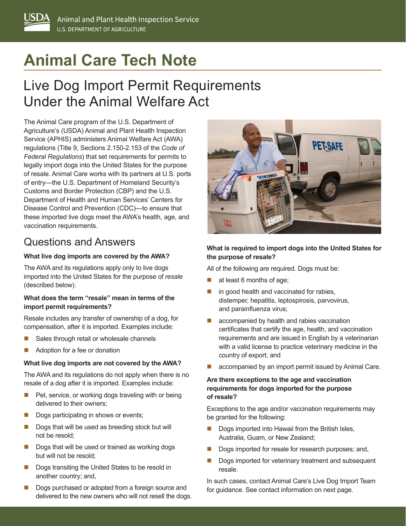# **Animal Care Tech Note**

## Live Dog Import Permit Requirements Under the Animal Welfare Act

The Animal Care program of the U.S. Department of Agriculture's (USDA) Animal and Plant Health Inspection Service (APHIS) administers Animal Welfare Act (AWA) regulations (Title 9, Sections 2.150-2.153 of the *Code of Federal Regulations*) that set requirements for permits to legally import dogs into the United States for the purpose of resale. Animal Care works with its partners at U.S. ports of entry—the U.S. Department of Homeland Security's Customs and Border Protection (CBP) and the U.S. Department of Health and Human Services' Centers for Disease Control and Prevention (CDC)—to ensure that these imported live dogs meet the AWA's health, age, and vaccination requirements.

## Questions and Answers

#### **What live dog imports are covered by the AWA?**

The AWA and its regulations apply only to live dogs imported into the United States for the purpose of *resale* (described below).

#### **What does the term "resale" mean in terms of the import permit requirements?**

Resale includes any transfer of ownership of a dog, for compensation, after it is imported. Examples include:

- Sales through retail or wholesale channels
- Adoption for a fee or donation

#### **What live dog imports are not covered by the AWA?**

The AWA and its regulations do not apply when there is no resale of a dog after it is imported. Examples include:

- $\blacksquare$  Pet, service, or working dogs traveling with or being delivered to their owners;
- Dogs participating in shows or events;
- Dogs that will be used as breeding stock but will not be resold;
- $\blacksquare$  Dogs that will be used or trained as working dogs but will not be resold;
- Dogs transiting the United States to be resold in another country; and,
- Dogs purchased or adopted from a foreign source and delivered to the new owners who will not resell the dogs.



#### **What is required to import dogs into the United States for the purpose of resale?**

All of the following are required. Dogs must be:

- at least 6 months of age;
- in good health and vaccinated for rabies, distemper, hepatitis, leptospirosis, parvovirus, and parainfluenza virus;
- accompanied by health and rabies vaccination certificates that certify the age, health, and vaccination requirements and are issued in English by a veterinarian with a valid license to practice veterinary medicine in the country of export; and
- accompanied by an import permit issued by Animal Care.

#### **Are there exceptions to the age and vaccination requirements for dogs imported for the purpose of resale?**

Exceptions to the age and/or vaccination requirements may be granted for the following:

- Dogs imported into Hawaii from the British Isles, Australia, Guam, or New Zealand;
- Dogs imported for resale for research purposes; and,
- Dogs imported for veterinary treatment and subsequent resale.

In such cases, contact Animal Care's Live Dog Import Team for guidance. See contact information on next page.